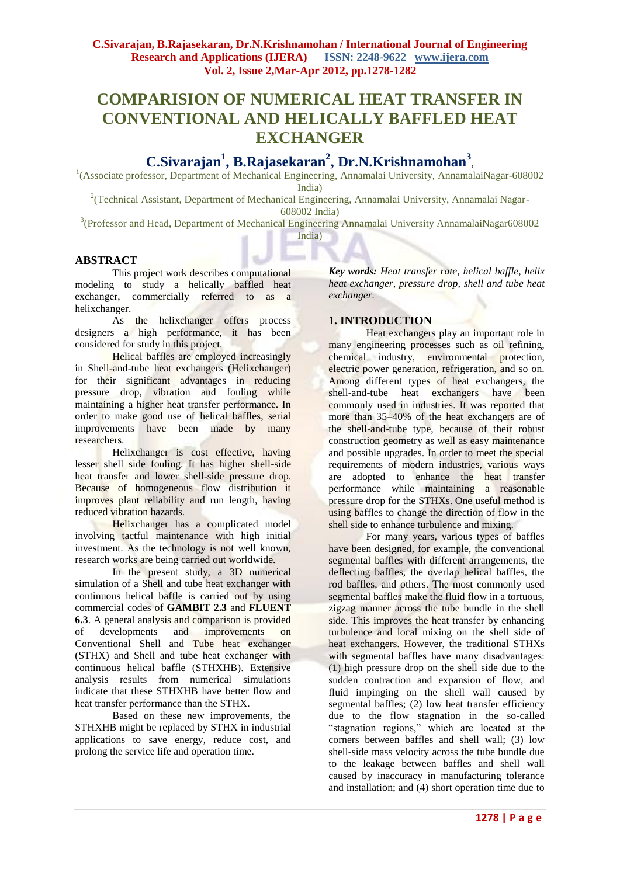# **COMPARISION OF NUMERICAL HEAT TRANSFER IN CONVENTIONAL AND HELICALLY BAFFLED HEAT EXCHANGER**

# **C.Sivarajan<sup>1</sup> , B.Rajasekaran<sup>2</sup> , Dr.N.Krishnamohan<sup>3</sup>** *,*

<sup>1</sup>(Associate professor, Department of Mechanical Engineering, Annamalai University, AnnamalaiNagar-608002 India)

<sup>2</sup>(Technical Assistant, Department of Mechanical Engineering, Annamalai University, Annamalai Nagar-608002 India)

<sup>3</sup>(Professor and Head, Department of Mechanical Engineering Annamalai University AnnamalaiNagar608002 India)

# **ABSTRACT**

This project work describes computational modeling to study a helically baffled heat exchanger, commercially referred to as a helixchanger.

As the helixchanger offers process designers a high performance, it has been considered for study in this project.

Helical baffles are employed increasingly in Shell-and-tube heat exchangers (Helixchanger) for their significant advantages in reducing pressure drop, vibration and fouling while maintaining a higher heat transfer performance. In order to make good use of helical baffles, serial improvements have been made by many researchers.

Helixchanger is cost effective, having lesser shell side fouling. It has higher shell-side heat transfer and lower shell-side pressure drop. Because of homogeneous flow distribution it improves plant reliability and run length, having reduced vibration hazards.

Helixchanger has a complicated model involving tactful maintenance with high initial investment. As the technology is not well known, research works are being carried out worldwide.

In the present study, a 3D numerical simulation of a Shell and tube heat exchanger with continuous helical baffle is carried out by using commercial codes of **GAMBIT 2.3** and **FLUENT 6.3**. A general analysis and comparison is provided<br>of developments and improvements on developments and improvements on Conventional Shell and Tube heat exchanger (STHX) and Shell and tube heat exchanger with continuous helical baffle (STHXHB). Extensive analysis results from numerical simulations indicate that these STHXHB have better flow and heat transfer performance than the STHX.

Based on these new improvements, the STHXHB might be replaced by STHX in industrial applications to save energy, reduce cost, and prolong the service life and operation time.

*Key words: Heat transfer rate, helical baffle, helix heat exchanger, pressure drop, shell and tube heat exchanger.*

# **1. INTRODUCTION**

Heat exchangers play an important role in many engineering processes such as oil refining, chemical industry, environmental protection, electric power generation, refrigeration, and so on. Among different types of heat exchangers, the shell-and-tube heat exchangers have been commonly used in industries. It was reported that more than 35–40% of the heat exchangers are of the shell-and-tube type, because of their robust construction geometry as well as easy maintenance and possible upgrades. In order to meet the special requirements of modern industries, various ways are adopted to enhance the heat transfer performance while maintaining a reasonable pressure drop for the STHXs. One useful method is using baffles to change the direction of flow in the shell side to enhance turbulence and mixing.

For many years, various types of baffles have been designed, for example, the conventional segmental baffles with different arrangements, the deflecting baffles, the overlap helical baffles, the rod baffles, and others. The most commonly used segmental baffles make the fluid flow in a tortuous, zigzag manner across the tube bundle in the shell side. This improves the heat transfer by enhancing turbulence and local mixing on the shell side of heat exchangers. However, the traditional STHXs with segmental baffles have many disadvantages: (1) high pressure drop on the shell side due to the sudden contraction and expansion of flow, and fluid impinging on the shell wall caused by segmental baffles; (2) low heat transfer efficiency due to the flow stagnation in the so-called "stagnation regions," which are located at the corners between baffles and shell wall; (3) low shell-side mass velocity across the tube bundle due to the leakage between baffles and shell wall caused by inaccuracy in manufacturing tolerance and installation; and (4) short operation time due to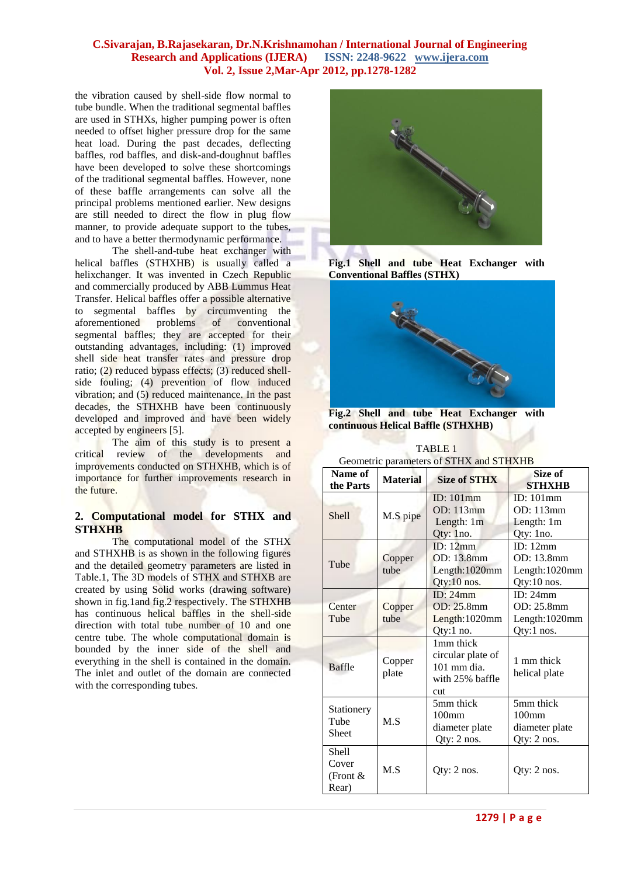the vibration caused by shell-side flow normal to tube bundle. When the traditional segmental baffles are used in STHXs, higher pumping power is often needed to offset higher pressure drop for the same heat load. During the past decades, deflecting baffles, rod baffles, and disk-and-doughnut baffles have been developed to solve these shortcomings of the traditional segmental baffles. However, none of these baffle arrangements can solve all the principal problems mentioned earlier. New designs are still needed to direct the flow in plug flow manner, to provide adequate support to the tubes, and to have a better thermodynamic performance.

The shell-and-tube heat exchanger with helical baffles (STHXHB) is usually called a helixchanger. It was invented in Czech Republic and commercially produced by ABB Lummus Heat Transfer. Helical baffles offer a possible alternative to segmental baffles by circumventing the aforementioned problems of conventional segmental baffles; they are accepted for their outstanding advantages, including: (1) improved shell side heat transfer rates and pressure drop ratio; (2) reduced bypass effects; (3) reduced shellside fouling; (4) prevention of flow induced vibration; and (5) reduced maintenance. In the past decades, the STHXHB have been continuously developed and improved and have been widely accepted by engineers [5].

The aim of this study is to present a critical review of the developments and improvements conducted on STHXHB, which is of importance for further improvements research in the future.

# **2. Computational model for STHX and STHXHB**

The computational model of the STHX and STHXHB is as shown in the following figures and the detailed geometry parameters are listed in Table.1, The 3D models of STHX and STHXB are created by using Solid works (drawing software) shown in fig.1and fig.2 respectively. The STHXHB has continuous helical baffles in the shell-side direction with total tube number of 10 and one centre tube. The whole computational domain is bounded by the inner side of the shell and everything in the shell is contained in the domain. The inlet and outlet of the domain are connected with the corresponding tubes.



**Fig.1 Shell and tube Heat Exchanger with Conventional Baffles (STHX)**



**Fig.2 Shell and tube Heat Exchanger with continuous Helical Baffle (STHXHB)**

| Geometric parameters of STHX and STHXHB |                 |                                                                                       |                                                                 |
|-----------------------------------------|-----------------|---------------------------------------------------------------------------------------|-----------------------------------------------------------------|
| Name of<br>the Parts                    | <b>Material</b> | <b>Size of STHX</b>                                                                   | Size of<br><b>STHXHB</b>                                        |
| <b>Shell</b>                            | M.S pipe        | ID: $101$ mm<br><b>OD</b> : 113mm<br>Length: 1m<br>Qty: 1no.                          | ID: 101mm<br>OD: 113mm<br>Length: 1m<br>Qty: 1no.               |
| Tube                                    | Copper<br>tube  | ID: $12mm$<br>OD: 13.8mm<br>Length:1020mm<br>Qty:10 nos.                              | ID: 12mm<br>OD: 13.8mm<br>Length:1020mm<br>Qty:10 nos.          |
| Center<br>Tube                          | Copper<br>tube  | ID: 24mm<br>OD: 25.8mm<br>Length: 1020mm<br>Qty:1 no.                                 | ID: 24mm<br>OD: 25.8mm<br>Length:1020mm<br>Qty:1 nos.           |
| <b>Baffle</b>                           | Copper<br>plate | 1 <sub>mm</sub> thick<br>circular plate of<br>$101$ mm dia.<br>with 25% baffle<br>cut | 1 mm thick<br>helical plate                                     |
| Stationery<br>Tube<br>Sheet             | M.S             | 5mm thick<br>100 <sub>mm</sub><br>diameter plate<br>Qty: 2 nos.                       | 5mm thick<br>100 <sub>mm</sub><br>diameter plate<br>Qty: 2 nos. |
| Shell<br>Cover<br>(Front $\&$<br>Rear)  | M.S             | $Qty: 2$ nos.                                                                         | Qty: $2$ nos.                                                   |

TABLE 1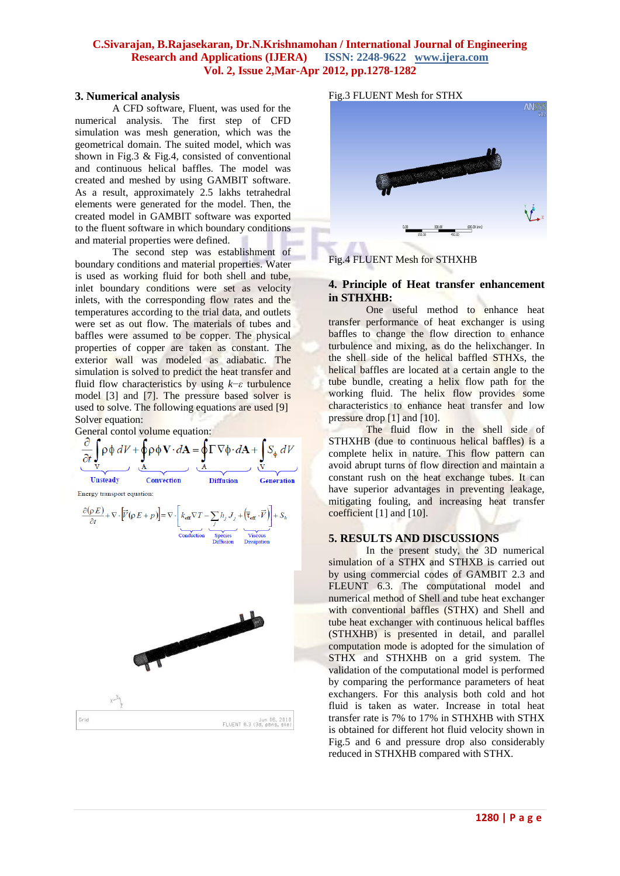#### **3. Numerical analysis**

A CFD software, Fluent, was used for the numerical analysis. The first step of CFD simulation was mesh generation, which was the geometrical domain. The suited model, which was shown in Fig.3 & Fig.4, consisted of conventional and continuous helical baffles. The model was created and meshed by using GAMBIT software. As a result, approximately 2.5 lakhs tetrahedral elements were generated for the model. Then, the created model in GAMBIT software was exported to the fluent software in which boundary conditions and material properties were defined.

The second step was establishment of boundary conditions and material properties. Water is used as working fluid for both shell and tube, inlet boundary conditions were set as velocity inlets, with the corresponding flow rates and the temperatures according to the trial data, and outlets were set as out flow. The materials of tubes and baffles were assumed to be copper. The physical properties of copper are taken as constant. The exterior wall was modeled as adiabatic. The simulation is solved to predict the heat transfer and fluid flow characteristics by using *k*−*ε* turbulence model [3] and [7]. The pressure based solver is used to solve. The following equations are used [9] Solver equation:

General contol volume equation:



Fig.3 FLUENT Mesh for STHX **ANS** 

Fig.4 FLUENT Mesh for STHXHB

#### **4. Principle of Heat transfer enhancement in STHXHB:**

One useful method to enhance heat transfer performance of heat exchanger is using baffles to change the flow direction to enhance turbulence and mixing, as do the helixchanger. In the shell side of the helical baffled STHXs, the helical baffles are located at a certain angle to the tube bundle, creating a helix flow path for the working fluid. The helix flow provides some characteristics to enhance heat transfer and low pressure drop [1] and [10].

The fluid flow in the shell side of STHXHB (due to continuous helical baffles) is a complete helix in nature. This flow pattern can avoid abrupt turns of flow direction and maintain a constant rush on the heat exchange tubes. It can have superior advantages in preventing leakage, mitigating fouling, and increasing heat transfer coefficient [1] and [10].

#### **5. RESULTS AND DISCUSSIONS**

In the present study, the 3D numerical simulation of a STHX and STHXB is carried out by using commercial codes of GAMBIT 2.3 and FLEUNT 6.3. The computational model and numerical method of Shell and tube heat exchanger with conventional baffles (STHX) and Shell and tube heat exchanger with continuous helical baffles (STHXHB) is presented in detail, and parallel computation mode is adopted for the simulation of STHX and STHXHB on a grid system. The validation of the computational model is performed by comparing the performance parameters of heat exchangers. For this analysis both cold and hot fluid is taken as water. Increase in total heat transfer rate is 7% to 17% in STHXHB with STHX is obtained for different hot fluid velocity shown in Fig.5 and 6 and pressure drop also considerably reduced in STHXHB compared with STHX.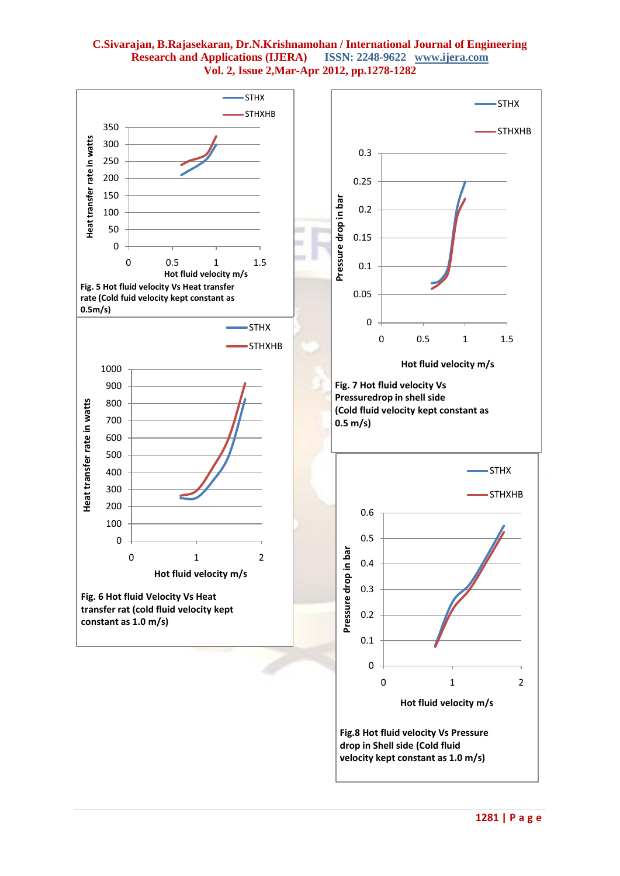